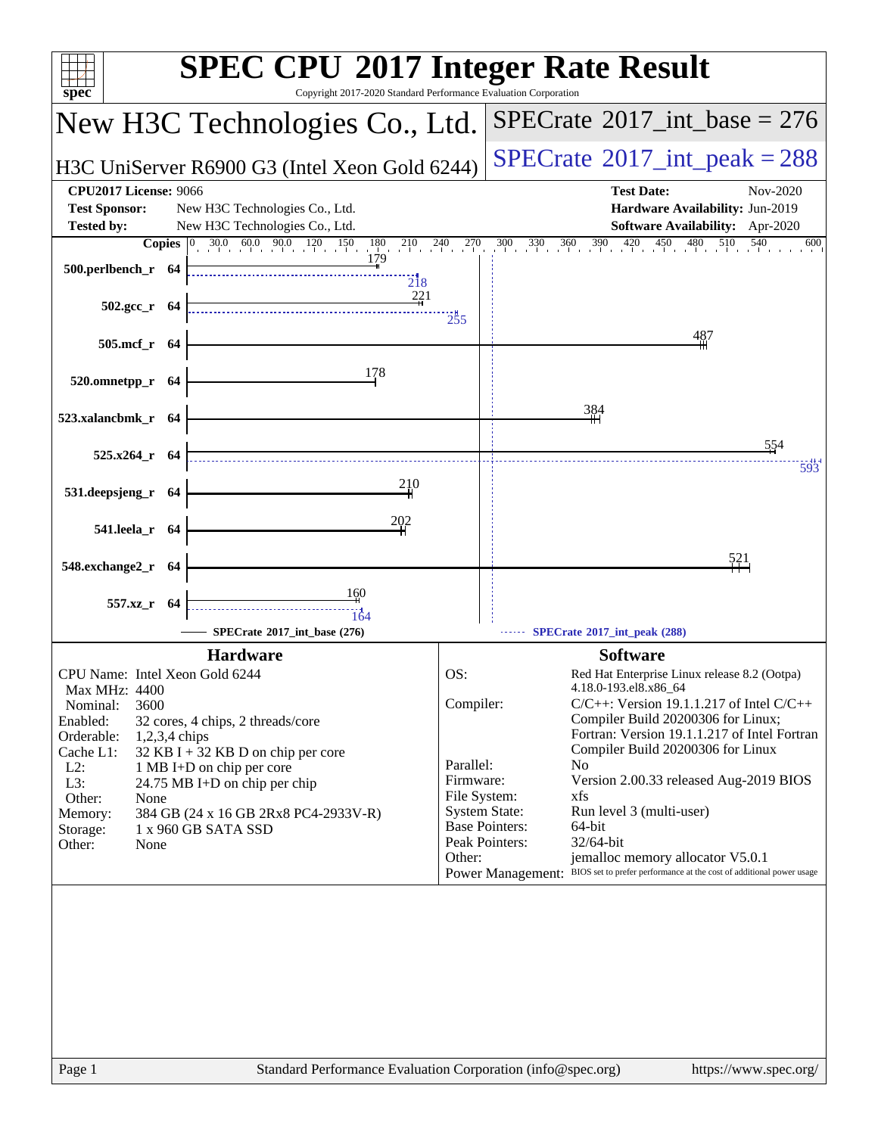| Copyright 2017-2020 Standard Performance Evaluation Corporation<br>$spec^*$                                                                                                                                                                                                                                                                                                       | <b>SPEC CPU®2017 Integer Rate Result</b>                                                                                                                                                                                                                                                                                                                                                                                                                                                                                                                                                            |
|-----------------------------------------------------------------------------------------------------------------------------------------------------------------------------------------------------------------------------------------------------------------------------------------------------------------------------------------------------------------------------------|-----------------------------------------------------------------------------------------------------------------------------------------------------------------------------------------------------------------------------------------------------------------------------------------------------------------------------------------------------------------------------------------------------------------------------------------------------------------------------------------------------------------------------------------------------------------------------------------------------|
| New H3C Technologies Co., Ltd.                                                                                                                                                                                                                                                                                                                                                    | $SPECTate@2017_int\_base = 276$                                                                                                                                                                                                                                                                                                                                                                                                                                                                                                                                                                     |
| H3C UniServer R6900 G3 (Intel Xeon Gold 6244)                                                                                                                                                                                                                                                                                                                                     | $SPECTate$ <sup>®</sup> 2017_int_peak = 288                                                                                                                                                                                                                                                                                                                                                                                                                                                                                                                                                         |
| <b>CPU2017 License: 9066</b><br><b>Test Sponsor:</b><br>New H3C Technologies Co., Ltd.<br><b>Tested by:</b><br>New H3C Technologies Co., Ltd.                                                                                                                                                                                                                                     | <b>Test Date:</b><br>Nov-2020<br>Hardware Availability: Jun-2019<br>Software Availability: Apr-2020                                                                                                                                                                                                                                                                                                                                                                                                                                                                                                 |
| <b>Copies</b> $\begin{bmatrix} 0 & 30.0 & 60.0 & 90.0 & 120 & 150 & 180 & 210 & 240 & 270 \end{bmatrix}$<br>179<br>500.perlbench_r 64<br>$\overline{218}$<br>221                                                                                                                                                                                                                  | $300$ $330$ $360$ $390$ $420$ $450$ $480$ $510$ $540$<br>600                                                                                                                                                                                                                                                                                                                                                                                                                                                                                                                                        |
| $502.\text{gcc}_r$ 64<br>505.mcf_r 64                                                                                                                                                                                                                                                                                                                                             | $\frac{1}{255}$<br>487                                                                                                                                                                                                                                                                                                                                                                                                                                                                                                                                                                              |
| 178<br>520.omnetpp_r 64                                                                                                                                                                                                                                                                                                                                                           |                                                                                                                                                                                                                                                                                                                                                                                                                                                                                                                                                                                                     |
| 523.xalancbmk_r 64<br>$525.x264$ r 64                                                                                                                                                                                                                                                                                                                                             | 384<br>554                                                                                                                                                                                                                                                                                                                                                                                                                                                                                                                                                                                          |
| 210<br>531.deepsjeng_r 64                                                                                                                                                                                                                                                                                                                                                         | 593                                                                                                                                                                                                                                                                                                                                                                                                                                                                                                                                                                                                 |
| 202<br>541.leela_r 64                                                                                                                                                                                                                                                                                                                                                             | 521                                                                                                                                                                                                                                                                                                                                                                                                                                                                                                                                                                                                 |
| 548.exchange2_r 64<br>160<br>557.xz_r 64<br>164<br>SPECrate*2017_int_base (276)                                                                                                                                                                                                                                                                                                   | SPECrate®2017_int_peak (288)                                                                                                                                                                                                                                                                                                                                                                                                                                                                                                                                                                        |
| <b>Hardware</b>                                                                                                                                                                                                                                                                                                                                                                   | <b>Software</b>                                                                                                                                                                                                                                                                                                                                                                                                                                                                                                                                                                                     |
| CPU Name: Intel Xeon Gold 6244                                                                                                                                                                                                                                                                                                                                                    | OS:<br>Red Hat Enterprise Linux release 8.2 (Ootpa)                                                                                                                                                                                                                                                                                                                                                                                                                                                                                                                                                 |
| Max MHz: 4400<br>3600<br>Nominal:<br>Enabled:<br>32 cores, 4 chips, 2 threads/core<br>Orderable:<br>$1,2,3,4$ chips<br>Cache L1:<br>$32$ KB I + 32 KB D on chip per core<br>$L2$ :<br>1 MB I+D on chip per core<br>L3:<br>24.75 MB I+D on chip per chip<br>Other:<br>None<br>Memory:<br>384 GB (24 x 16 GB 2Rx8 PC4-2933V-R)<br>1 x 960 GB SATA SSD<br>Storage:<br>Other:<br>None | 4.18.0-193.el8.x86.64<br>Compiler:<br>$C/C++$ : Version 19.1.1.217 of Intel $C/C++$<br>Compiler Build 20200306 for Linux;<br>Fortran: Version 19.1.1.217 of Intel Fortran<br>Compiler Build 20200306 for Linux<br>Parallel:<br>N <sub>0</sub><br>Firmware:<br>Version 2.00.33 released Aug-2019 BIOS<br>File System:<br>xfs<br><b>System State:</b><br>Run level 3 (multi-user)<br><b>Base Pointers:</b><br>64-bit<br>Peak Pointers:<br>32/64-bit<br>jemalloc memory allocator V5.0.1<br>Other:<br>BIOS set to prefer performance at the cost of additional power usage<br><b>Power Management:</b> |
| Page 1                                                                                                                                                                                                                                                                                                                                                                            | Standard Performance Evaluation Corporation (info@spec.org)<br>https://www.spec.org/                                                                                                                                                                                                                                                                                                                                                                                                                                                                                                                |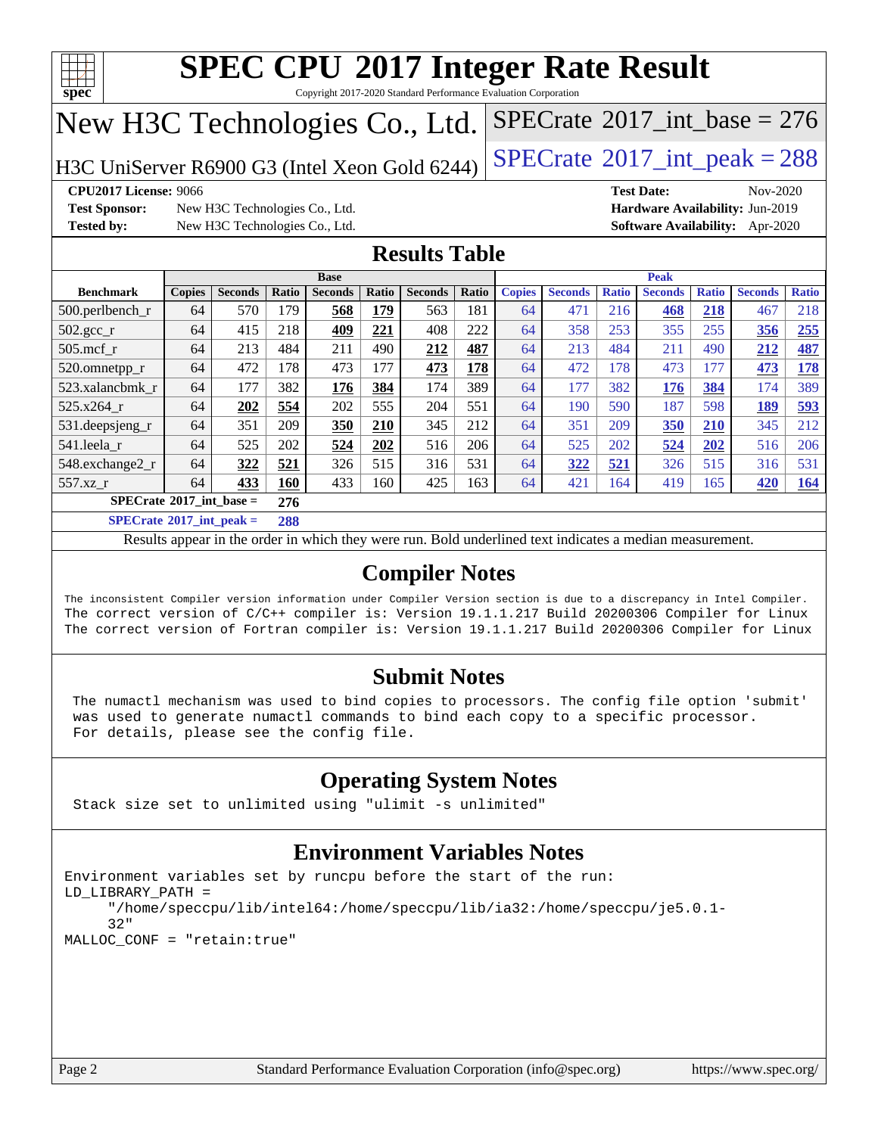

Copyright 2017-2020 Standard Performance Evaluation Corporation

# New H3C Technologies Co., Ltd.

H3C UniServer R6900 G3 (Intel Xeon Gold 6244)  $\left|$  [SPECrate](http://www.spec.org/auto/cpu2017/Docs/result-fields.html#SPECrate2017intpeak)<sup>®</sup>[2017\\_int\\_peak = 2](http://www.spec.org/auto/cpu2017/Docs/result-fields.html#SPECrate2017intpeak)88

**[Test Sponsor:](http://www.spec.org/auto/cpu2017/Docs/result-fields.html#TestSponsor)** New H3C Technologies Co., Ltd. **[Hardware Availability:](http://www.spec.org/auto/cpu2017/Docs/result-fields.html#HardwareAvailability)** Jun-2019 **[Tested by:](http://www.spec.org/auto/cpu2017/Docs/result-fields.html#Testedby)** New H3C Technologies Co., Ltd. **[Software Availability:](http://www.spec.org/auto/cpu2017/Docs/result-fields.html#SoftwareAvailability)** Apr-2020

**[CPU2017 License:](http://www.spec.org/auto/cpu2017/Docs/result-fields.html#CPU2017License)** 9066 **[Test Date:](http://www.spec.org/auto/cpu2017/Docs/result-fields.html#TestDate)** Nov-2020

 $SPECTate$ <sup>®</sup>[2017\\_int\\_base =](http://www.spec.org/auto/cpu2017/Docs/result-fields.html#SPECrate2017intbase) 276

### **[Results Table](http://www.spec.org/auto/cpu2017/Docs/result-fields.html#ResultsTable)**

| <b>Base</b>                                             |               |                |            |                | <b>Peak</b> |                |       |               |                |              |                |              |                |              |
|---------------------------------------------------------|---------------|----------------|------------|----------------|-------------|----------------|-------|---------------|----------------|--------------|----------------|--------------|----------------|--------------|
| <b>Benchmark</b>                                        | <b>Copies</b> | <b>Seconds</b> | Ratio      | <b>Seconds</b> | Ratio       | <b>Seconds</b> | Ratio | <b>Copies</b> | <b>Seconds</b> | <b>Ratio</b> | <b>Seconds</b> | <b>Ratio</b> | <b>Seconds</b> | <b>Ratio</b> |
| 500.perlbench_r                                         | 64            | 570            | 179        | 568            | <u>179</u>  | 563            | 181   | 64            | 471            | 216          | 468            | 218          | 467            | 218          |
| $502.\text{gcc}$ <sub>r</sub>                           | 64            | 415            | 218        | 409            | 221         | 408            | 222   | 64            | 358            | 253          | 355            | 255          | 356            | 255          |
| $505$ .mcf r                                            | 64            | 213            | 484        | 211            | 490         | 212            | 487   | 64            | 213            | 484          | 211            | 490          | 212            | 487          |
| 520.omnetpp_r                                           | 64            | 472            | 178        | 473            | 177         | 473            | 178   | 64            | 472            | 178          | 473            | 177          | 473            | 178          |
| 523.xalancbmk r                                         | 64            | 177            | 382        | 176            | 384         | 174            | 389   | 64            | 177            | 382          | 176            | 384          | 174            | 389          |
| 525.x264 r                                              | 64            | 202            | 554        | 202            | 555         | 204            | 551   | 64            | 190            | 590          | 187            | 598          | 189            | <u>593</u>   |
| 531.deepsjeng_r                                         | 64            | 351            | 209        | 350            | 210         | 345            | 212   | 64            | 351            | 209          | 350            | 210          | 345            | 212          |
| 541.leela r                                             | 64            | 525            | 202        | 524            | 202         | 516            | 206   | 64            | 525            | 202          | 524            | 202          | 516            | 206          |
| 548.exchange2_r                                         | 64            | 322            | 521        | 326            | 515         | 316            | 531   | 64            | 322            | 521          | 326            | 515          | 316            | 531          |
| 557.xz r                                                | 64            | 433            | <b>160</b> | 433            | 160         | 425            | 163   | 64            | 421            | 164          | 419            | 165          | 420            | <u>164</u>   |
| $SPECrate^{\circ}2017$ int base =                       |               |                | 276        |                |             |                |       |               |                |              |                |              |                |              |
| $\sim$ $\sim$ $\sim$ $\sim$ $\sim$ $\sim$ $\sim$ $\sim$ |               |                |            |                |             |                |       |               |                |              |                |              |                |              |

**[SPECrate](http://www.spec.org/auto/cpu2017/Docs/result-fields.html#SPECrate2017intpeak)[2017\\_int\\_peak =](http://www.spec.org/auto/cpu2017/Docs/result-fields.html#SPECrate2017intpeak) 288**

Results appear in the [order in which they were run](http://www.spec.org/auto/cpu2017/Docs/result-fields.html#RunOrder). Bold underlined text [indicates a median measurement](http://www.spec.org/auto/cpu2017/Docs/result-fields.html#Median).

### **[Compiler Notes](http://www.spec.org/auto/cpu2017/Docs/result-fields.html#CompilerNotes)**

The inconsistent Compiler version information under Compiler Version section is due to a discrepancy in Intel Compiler. The correct version of C/C++ compiler is: Version 19.1.1.217 Build 20200306 Compiler for Linux The correct version of Fortran compiler is: Version 19.1.1.217 Build 20200306 Compiler for Linux

### **[Submit Notes](http://www.spec.org/auto/cpu2017/Docs/result-fields.html#SubmitNotes)**

 The numactl mechanism was used to bind copies to processors. The config file option 'submit' was used to generate numactl commands to bind each copy to a specific processor. For details, please see the config file.

### **[Operating System Notes](http://www.spec.org/auto/cpu2017/Docs/result-fields.html#OperatingSystemNotes)**

Stack size set to unlimited using "ulimit -s unlimited"

### **[Environment Variables Notes](http://www.spec.org/auto/cpu2017/Docs/result-fields.html#EnvironmentVariablesNotes)**

```
Environment variables set by runcpu before the start of the run:
LD_LIBRARY_PATH =
      "/home/speccpu/lib/intel64:/home/speccpu/lib/ia32:/home/speccpu/je5.0.1-
      32"
MALLOC_CONF = "retain:true"
```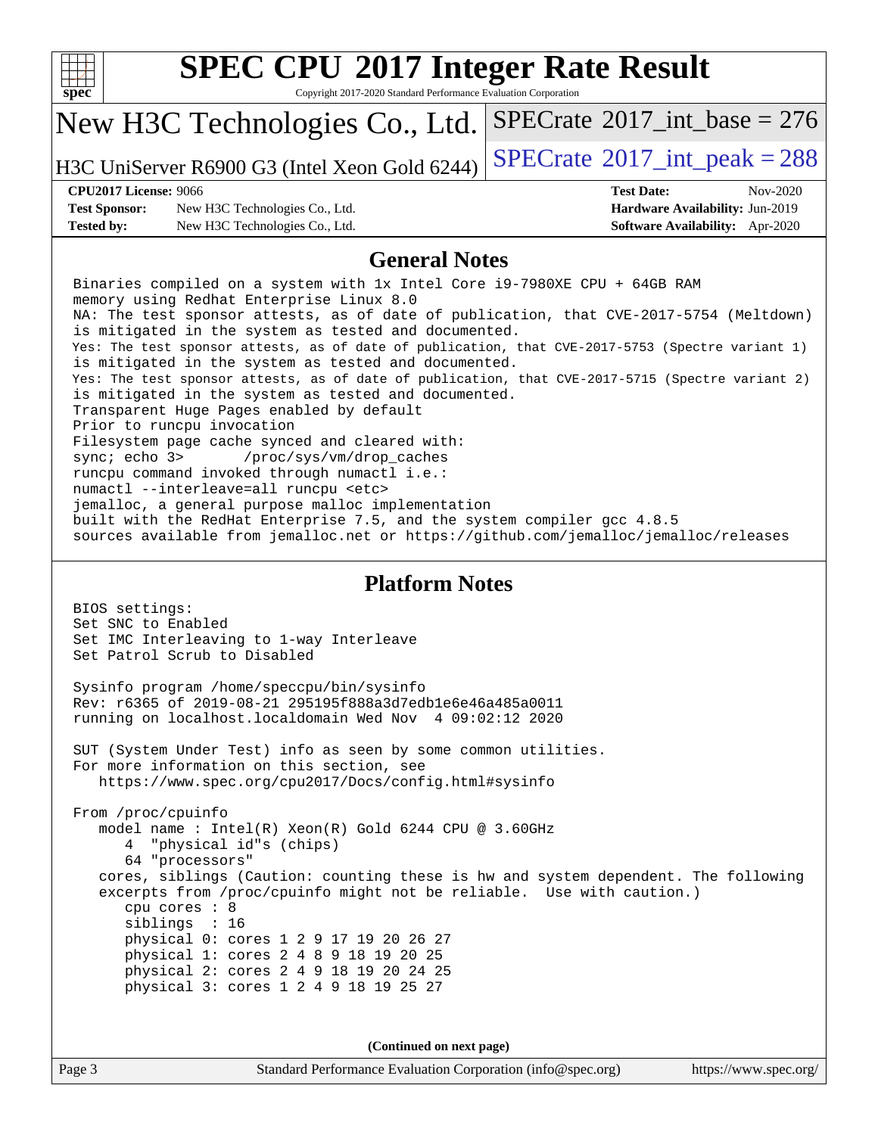| c<br>t<br>U<br>U |  |  |  |  |  |
|------------------|--|--|--|--|--|

Copyright 2017-2020 Standard Performance Evaluation Corporation

# New H3C Technologies Co., Ltd.

H3C UniServer R6900 G3 (Intel Xeon Gold 6244)  $\left|$  [SPECrate](http://www.spec.org/auto/cpu2017/Docs/result-fields.html#SPECrate2017intpeak)<sup>®</sup>[2017\\_int\\_peak = 2](http://www.spec.org/auto/cpu2017/Docs/result-fields.html#SPECrate2017intpeak)88

 $SPECTate$ <sup>®</sup>[2017\\_int\\_base =](http://www.spec.org/auto/cpu2017/Docs/result-fields.html#SPECrate2017intbase) 276

### **[CPU2017 License:](http://www.spec.org/auto/cpu2017/Docs/result-fields.html#CPU2017License)** 9066 **[Test Date:](http://www.spec.org/auto/cpu2017/Docs/result-fields.html#TestDate)** Nov-2020

**[Test Sponsor:](http://www.spec.org/auto/cpu2017/Docs/result-fields.html#TestSponsor)** New H3C Technologies Co., Ltd. **[Hardware Availability:](http://www.spec.org/auto/cpu2017/Docs/result-fields.html#HardwareAvailability)** Jun-2019 **[Tested by:](http://www.spec.org/auto/cpu2017/Docs/result-fields.html#Testedby)** New H3C Technologies Co., Ltd. **[Software Availability:](http://www.spec.org/auto/cpu2017/Docs/result-fields.html#SoftwareAvailability)** Apr-2020

### **[General Notes](http://www.spec.org/auto/cpu2017/Docs/result-fields.html#GeneralNotes)**

 Binaries compiled on a system with 1x Intel Core i9-7980XE CPU + 64GB RAM memory using Redhat Enterprise Linux 8.0 NA: The test sponsor attests, as of date of publication, that CVE-2017-5754 (Meltdown) is mitigated in the system as tested and documented. Yes: The test sponsor attests, as of date of publication, that CVE-2017-5753 (Spectre variant 1) is mitigated in the system as tested and documented. Yes: The test sponsor attests, as of date of publication, that CVE-2017-5715 (Spectre variant 2) is mitigated in the system as tested and documented. Transparent Huge Pages enabled by default Prior to runcpu invocation Filesystem page cache synced and cleared with: sync; echo 3> /proc/sys/vm/drop\_caches runcpu command invoked through numactl i.e.: numactl --interleave=all runcpu <etc> jemalloc, a general purpose malloc implementation built with the RedHat Enterprise 7.5, and the system compiler gcc 4.8.5 sources available from jemalloc.net or<https://github.com/jemalloc/jemalloc/releases>

### **[Platform Notes](http://www.spec.org/auto/cpu2017/Docs/result-fields.html#PlatformNotes)**

 BIOS settings: Set SNC to Enabled Set IMC Interleaving to 1-way Interleave Set Patrol Scrub to Disabled Sysinfo program /home/speccpu/bin/sysinfo Rev: r6365 of 2019-08-21 295195f888a3d7edb1e6e46a485a0011 running on localhost.localdomain Wed Nov 4 09:02:12 2020 SUT (System Under Test) info as seen by some common utilities. For more information on this section, see <https://www.spec.org/cpu2017/Docs/config.html#sysinfo> From /proc/cpuinfo model name : Intel(R) Xeon(R) Gold 6244 CPU @ 3.60GHz 4 "physical id"s (chips) 64 "processors" cores, siblings (Caution: counting these is hw and system dependent. The following excerpts from /proc/cpuinfo might not be reliable. Use with caution.) cpu cores : 8 siblings : 16

 physical 0: cores 1 2 9 17 19 20 26 27 physical 1: cores 2 4 8 9 18 19 20 25 physical 2: cores 2 4 9 18 19 20 24 25 physical 3: cores 1 2 4 9 18 19 25 27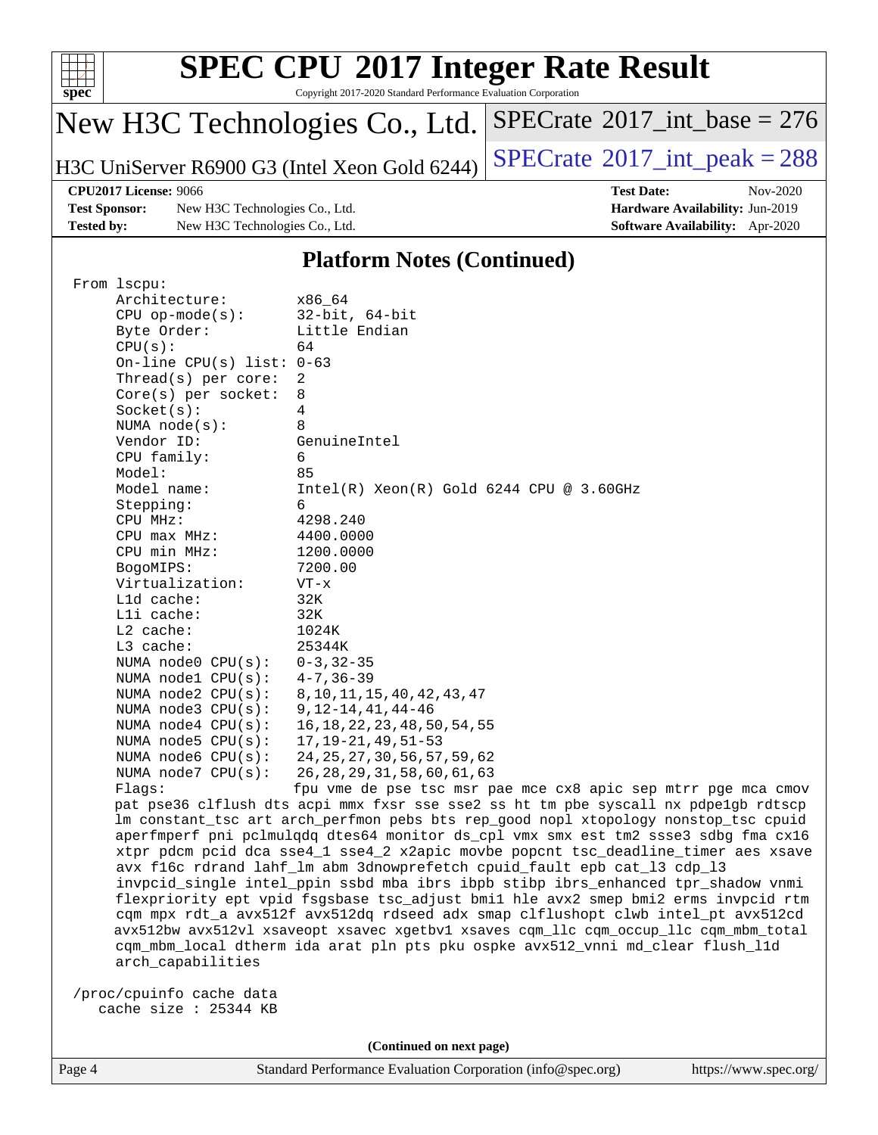

Copyright 2017-2020 Standard Performance Evaluation Corporation

# New H3C Technologies Co., Ltd.

H3C UniServer R6900 G3 (Intel Xeon Gold 6244)  $\left|$  [SPECrate](http://www.spec.org/auto/cpu2017/Docs/result-fields.html#SPECrate2017intpeak)<sup>®</sup>[2017\\_int\\_peak = 2](http://www.spec.org/auto/cpu2017/Docs/result-fields.html#SPECrate2017intpeak)88

 $SPECrate$ <sup>®</sup>[2017\\_int\\_base =](http://www.spec.org/auto/cpu2017/Docs/result-fields.html#SPECrate2017intbase) 276

**[Test Sponsor:](http://www.spec.org/auto/cpu2017/Docs/result-fields.html#TestSponsor)** New H3C Technologies Co., Ltd. **[Hardware Availability:](http://www.spec.org/auto/cpu2017/Docs/result-fields.html#HardwareAvailability)** Jun-2019 **[Tested by:](http://www.spec.org/auto/cpu2017/Docs/result-fields.html#Testedby)** New H3C Technologies Co., Ltd. **[Software Availability:](http://www.spec.org/auto/cpu2017/Docs/result-fields.html#SoftwareAvailability)** Apr-2020

**[CPU2017 License:](http://www.spec.org/auto/cpu2017/Docs/result-fields.html#CPU2017License)** 9066 **[Test Date:](http://www.spec.org/auto/cpu2017/Docs/result-fields.html#TestDate)** Nov-2020

### **[Platform Notes \(Continued\)](http://www.spec.org/auto/cpu2017/Docs/result-fields.html#PlatformNotes)**

| From 1scpu:                 |                                                                                      |
|-----------------------------|--------------------------------------------------------------------------------------|
| Architecture:               | x86_64                                                                               |
| $CPU$ op-mode( $s$ ):       | $32$ -bit, $64$ -bit                                                                 |
| Byte Order:                 | Little Endian                                                                        |
| CPU(s):                     | 64                                                                                   |
| On-line CPU(s) list: $0-63$ |                                                                                      |
| Thread( $s$ ) per core:     | $\overline{2}$                                                                       |
| $Core(s)$ per socket:       | 8                                                                                    |
| Socket(s):                  | 4                                                                                    |
| NUMA $node(s):$             | 8                                                                                    |
| Vendor ID:                  | GenuineIntel                                                                         |
| CPU family:                 | 6                                                                                    |
| Model:                      | 85                                                                                   |
| Model name:                 | $Intel(R)$ Xeon $(R)$ Gold 6244 CPU @ 3.60GHz                                        |
| Stepping:                   | 6                                                                                    |
| CPU MHz:                    | 4298.240                                                                             |
| $CPU$ max $MHz$ :           | 4400.0000                                                                            |
| CPU min MHz:                | 1200.0000                                                                            |
| BogoMIPS:                   | 7200.00                                                                              |
| Virtualization:             | $VT - x$                                                                             |
| L1d cache:                  | 32K                                                                                  |
| Lli cache:                  | 32K                                                                                  |
| $L2$ cache:                 | 1024K                                                                                |
| $L3$ cache:                 | 25344K                                                                               |
| NUMA $node0$ $CPU(s):$      | $0 - 3, 32 - 35$                                                                     |
| NUMA nodel $CPU(s):$        | $4 - 7, 36 - 39$                                                                     |
| NUMA $node2$ $CPU(s):$      | 8, 10, 11, 15, 40, 42, 43, 47                                                        |
| NUMA $node3$ $CPU(s):$      | $9, 12 - 14, 41, 44 - 46$                                                            |
| NUMA $node4$ $CPU(s):$      | 16, 18, 22, 23, 48, 50, 54, 55                                                       |
| NUMA $node5$ $CPU(s):$      | $17, 19 - 21, 49, 51 - 53$                                                           |
| NUMA $node6$ $CPU(s):$      | 24, 25, 27, 30, 56, 57, 59, 62                                                       |
| NUMA $node7$ CPU $(s)$ :    | 26, 28, 29, 31, 58, 60, 61, 63                                                       |
| Flaqs:                      | fpu vme de pse tsc msr pae mce cx8 apic sep mtrr pge mca cmov                        |
|                             | pat pse36 clflush dts acpi mmx fxsr sse sse2 ss ht tm pbe syscall nx pdpelgb rdtscp  |
|                             | lm constant_tsc art arch_perfmon pebs bts rep_good nopl xtopology nonstop_tsc cpuid  |
|                             | aperfmperf pni pclmulqdq dtes64 monitor ds_cpl vmx smx est tm2 ssse3 sdbg fma cx16   |
|                             | xtpr pdcm pcid dca sse4_1 sse4_2 x2apic movbe popcnt tsc_deadline_timer aes xsave    |
|                             | avx f16c rdrand lahf_lm abm 3dnowprefetch cpuid_fault epb cat_13 cdp_13              |
|                             | invpcid_single intel_ppin ssbd mba ibrs ibpb stibp ibrs_enhanced tpr_shadow vnmi     |
|                             | flexpriority ept vpid fsgsbase tsc_adjust bmil hle avx2 smep bmi2 erms invpcid rtm   |
|                             | cqm mpx rdt_a avx512f avx512dq rdseed adx smap clflushopt clwb intel_pt avx512cd     |
|                             | avx512bw avx512vl xsaveopt xsavec xgetbvl xsaves cqm_llc cqm_occup_llc cqm_mbm_total |
|                             | cqm_mbm_local dtherm ida arat pln pts pku ospke avx512_vnni md_clear flush_l1d       |
| arch capabilities           |                                                                                      |
| /proc/cpuinfo cache data    |                                                                                      |
| cache size : 25344 KB       |                                                                                      |
|                             |                                                                                      |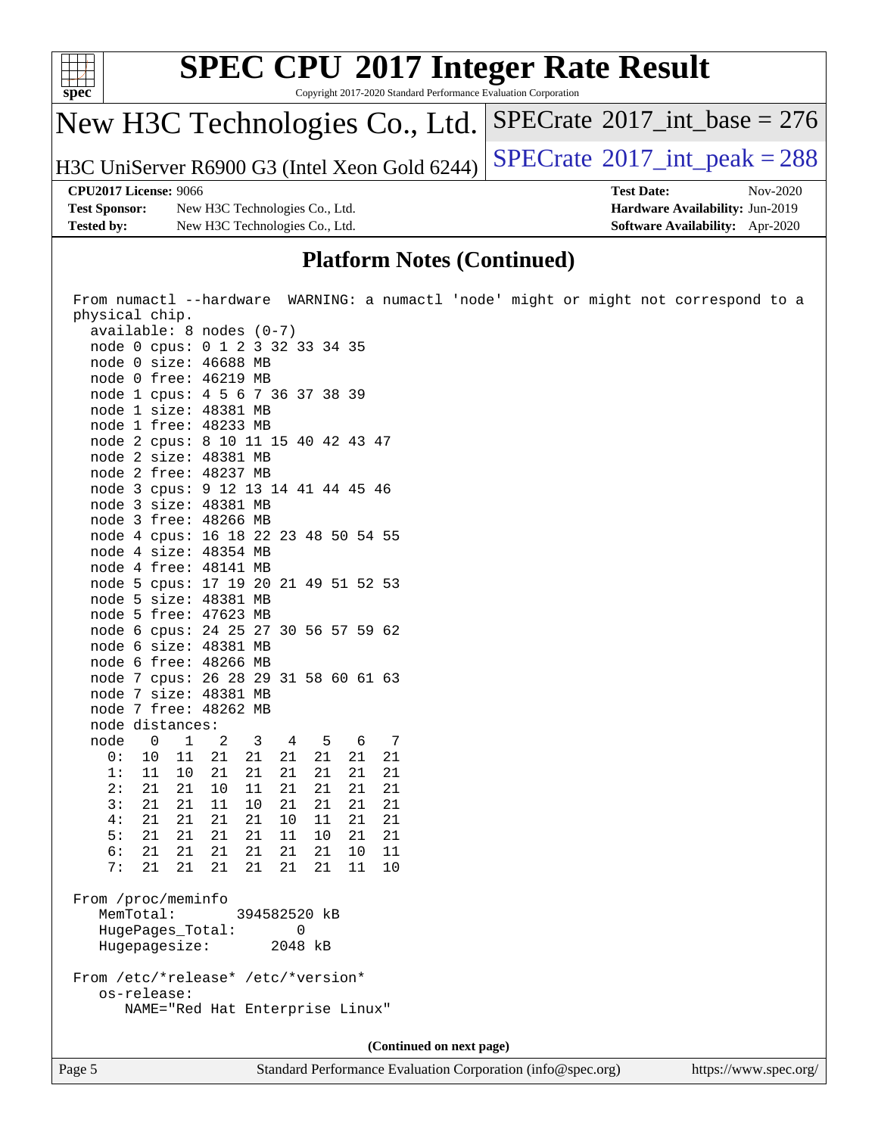

### **[Platform Notes \(Continued\)](http://www.spec.org/auto/cpu2017/Docs/result-fields.html#PlatformNotes)**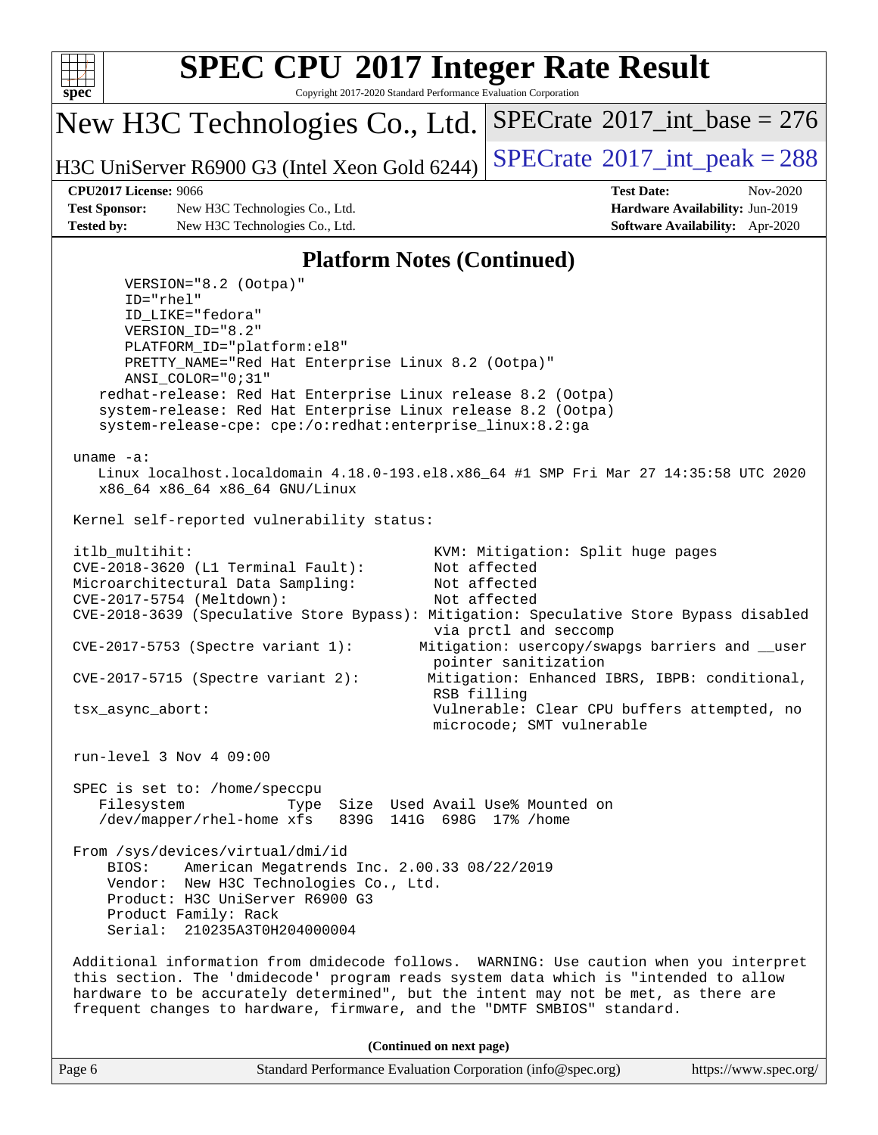

Copyright 2017-2020 Standard Performance Evaluation Corporation

New H3C Technologies Co., Ltd.

H3C UniServer R6900 G3 (Intel Xeon Gold 6244)  $\left|$  [SPECrate](http://www.spec.org/auto/cpu2017/Docs/result-fields.html#SPECrate2017intpeak)<sup>®</sup>[2017\\_int\\_peak = 2](http://www.spec.org/auto/cpu2017/Docs/result-fields.html#SPECrate2017intpeak)88

 $SPECTate$ <sup>®</sup>[2017\\_int\\_base =](http://www.spec.org/auto/cpu2017/Docs/result-fields.html#SPECrate2017intbase) 276

**[Test Sponsor:](http://www.spec.org/auto/cpu2017/Docs/result-fields.html#TestSponsor)** New H3C Technologies Co., Ltd. **[Hardware Availability:](http://www.spec.org/auto/cpu2017/Docs/result-fields.html#HardwareAvailability)** Jun-2019 **[Tested by:](http://www.spec.org/auto/cpu2017/Docs/result-fields.html#Testedby)** New H3C Technologies Co., Ltd. **[Software Availability:](http://www.spec.org/auto/cpu2017/Docs/result-fields.html#SoftwareAvailability)** Apr-2020

**[CPU2017 License:](http://www.spec.org/auto/cpu2017/Docs/result-fields.html#CPU2017License)** 9066 **[Test Date:](http://www.spec.org/auto/cpu2017/Docs/result-fields.html#TestDate)** Nov-2020

### **[Platform Notes \(Continued\)](http://www.spec.org/auto/cpu2017/Docs/result-fields.html#PlatformNotes)**

 VERSION="8.2 (Ootpa)" ID="rhel" ID\_LIKE="fedora" VERSION\_ID="8.2" PLATFORM\_ID="platform:el8" PRETTY\_NAME="Red Hat Enterprise Linux 8.2 (Ootpa)" ANSI\_COLOR="0;31" redhat-release: Red Hat Enterprise Linux release 8.2 (Ootpa) system-release: Red Hat Enterprise Linux release 8.2 (Ootpa) system-release-cpe: cpe:/o:redhat:enterprise\_linux:8.2:ga uname -a: Linux localhost.localdomain 4.18.0-193.el8.x86\_64 #1 SMP Fri Mar 27 14:35:58 UTC 2020 x86\_64 x86\_64 x86\_64 GNU/Linux Kernel self-reported vulnerability status: itlb\_multihit: KVM: Mitigation: Split huge pages CVE-2018-3620 (L1 Terminal Fault): Not affected Microarchitectural Data Sampling: Not affected CVE-2017-5754 (Meltdown): Not affected CVE-2018-3639 (Speculative Store Bypass): Mitigation: Speculative Store Bypass disabled via prctl and seccomp CVE-2017-5753 (Spectre variant 1): Mitigation: usercopy/swapgs barriers and \_\_user pointer sanitization CVE-2017-5715 (Spectre variant 2): Mitigation: Enhanced IBRS, IBPB: conditional, RSB filling tsx\_async\_abort: Vulnerable: Clear CPU buffers attempted, no microcode; SMT vulnerable run-level 3 Nov 4 09:00 SPEC is set to: /home/speccpu Filesystem Type Size Used Avail Use% Mounted on /dev/mapper/rhel-home xfs 839G 141G 698G 17% /home From /sys/devices/virtual/dmi/id BIOS: American Megatrends Inc. 2.00.33 08/22/2019 Vendor: New H3C Technologies Co., Ltd. Product: H3C UniServer R6900 G3 Product Family: Rack Serial: 210235A3T0H204000004 Additional information from dmidecode follows. WARNING: Use caution when you interpret this section. The 'dmidecode' program reads system data which is "intended to allow hardware to be accurately determined", but the intent may not be met, as there are frequent changes to hardware, firmware, and the "DMTF SMBIOS" standard.

| Page 6 | Standard Performance Evaluation Corporation (info@spec.org) | https://www.spec.org/ |
|--------|-------------------------------------------------------------|-----------------------|
|--------|-------------------------------------------------------------|-----------------------|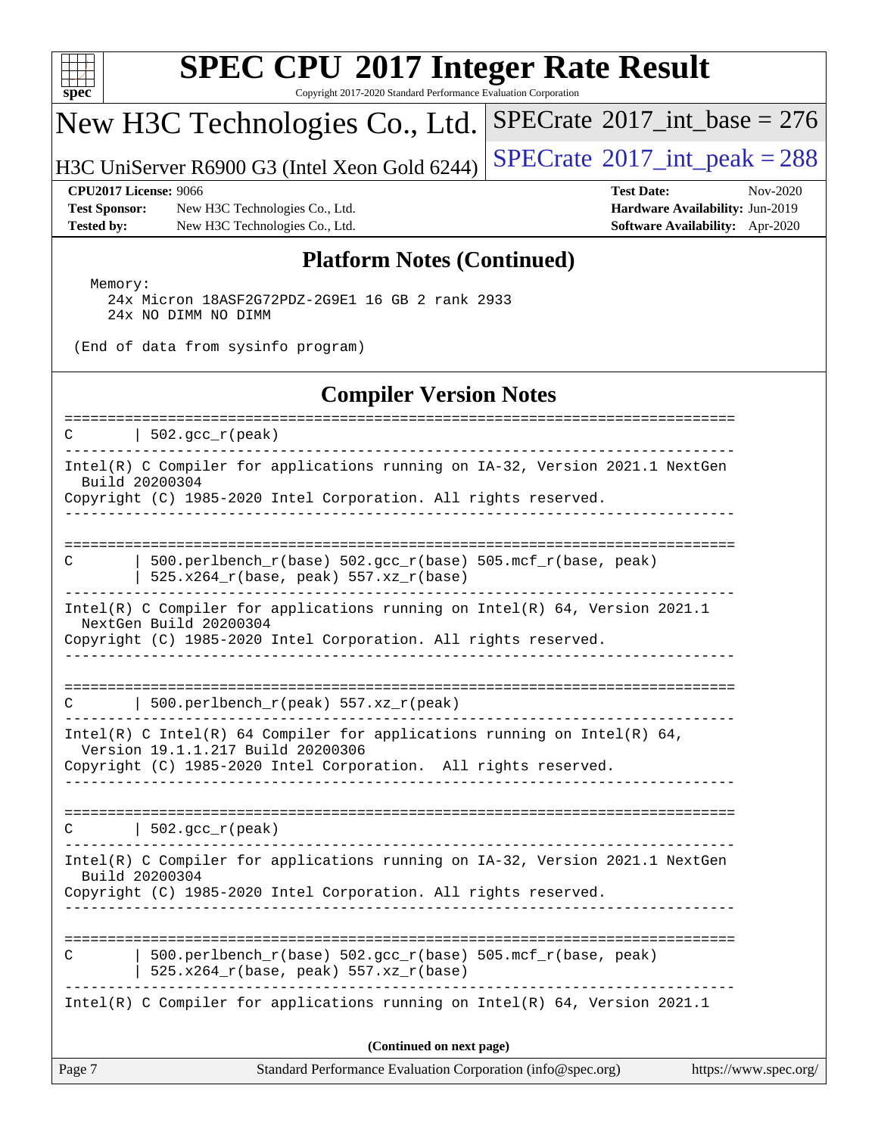

Copyright 2017-2020 Standard Performance Evaluation Corporation

## New H3C Technologies Co., Ltd.

H3C UniServer R6900 G3 (Intel Xeon Gold 6244)  $\left|$  [SPECrate](http://www.spec.org/auto/cpu2017/Docs/result-fields.html#SPECrate2017intpeak)<sup>®</sup>[2017\\_int\\_peak = 2](http://www.spec.org/auto/cpu2017/Docs/result-fields.html#SPECrate2017intpeak)88

 $SPECTate$ <sup>®</sup>[2017\\_int\\_base =](http://www.spec.org/auto/cpu2017/Docs/result-fields.html#SPECrate2017intbase) 276

**[Test Sponsor:](http://www.spec.org/auto/cpu2017/Docs/result-fields.html#TestSponsor)** New H3C Technologies Co., Ltd. **[Hardware Availability:](http://www.spec.org/auto/cpu2017/Docs/result-fields.html#HardwareAvailability)** Jun-2019 **[Tested by:](http://www.spec.org/auto/cpu2017/Docs/result-fields.html#Testedby)** New H3C Technologies Co., Ltd. **[Software Availability:](http://www.spec.org/auto/cpu2017/Docs/result-fields.html#SoftwareAvailability)** Apr-2020

**[CPU2017 License:](http://www.spec.org/auto/cpu2017/Docs/result-fields.html#CPU2017License)** 9066 **[Test Date:](http://www.spec.org/auto/cpu2017/Docs/result-fields.html#TestDate)** Nov-2020

### **[Platform Notes \(Continued\)](http://www.spec.org/auto/cpu2017/Docs/result-fields.html#PlatformNotes)**

 Memory: 24x Micron 18ASF2G72PDZ-2G9E1 16 GB 2 rank 2933 24x NO DIMM NO DIMM

(End of data from sysinfo program)

### **[Compiler Version Notes](http://www.spec.org/auto/cpu2017/Docs/result-fields.html#CompilerVersionNotes)**

Page 7 Standard Performance Evaluation Corporation [\(info@spec.org\)](mailto:info@spec.org) <https://www.spec.org/> ============================================================================== C |  $502 \text{ qcc r}$ (peak) ------------------------------------------------------------------------------ Intel(R) C Compiler for applications running on IA-32, Version 2021.1 NextGen Build 20200304 Copyright (C) 1985-2020 Intel Corporation. All rights reserved. ------------------------------------------------------------------------------ ============================================================================== C | 500.perlbench\_r(base) 502.gcc\_r(base) 505.mcf\_r(base, peak) | 525.x264\_r(base, peak) 557.xz\_r(base) ------------------------------------------------------------------------------ Intel(R) C Compiler for applications running on Intel(R) 64, Version 2021.1 NextGen Build 20200304 Copyright (C) 1985-2020 Intel Corporation. All rights reserved. ------------------------------------------------------------------------------ ==============================================================================  $C$  | 500.perlbench\_r(peak) 557.xz\_r(peak) ------------------------------------------------------------------------------ Intel(R) C Intel(R) 64 Compiler for applications running on Intel(R) 64, Version 19.1.1.217 Build 20200306 Copyright (C) 1985-2020 Intel Corporation. All rights reserved. ------------------------------------------------------------------------------ ==============================================================================  $C$  | 502.gcc\_r(peak) ------------------------------------------------------------------------------ Intel(R) C Compiler for applications running on IA-32, Version 2021.1 NextGen Build 20200304 Copyright (C) 1985-2020 Intel Corporation. All rights reserved. ------------------------------------------------------------------------------ ============================================================================== C | 500.perlbench r(base) 502.gcc r(base) 505.mcf r(base, peak) | 525.x264\_r(base, peak) 557.xz\_r(base) ------------------------------------------------------------------------------ Intel(R) C Compiler for applications running on Intel(R) 64, Version 2021.1 **(Continued on next page)**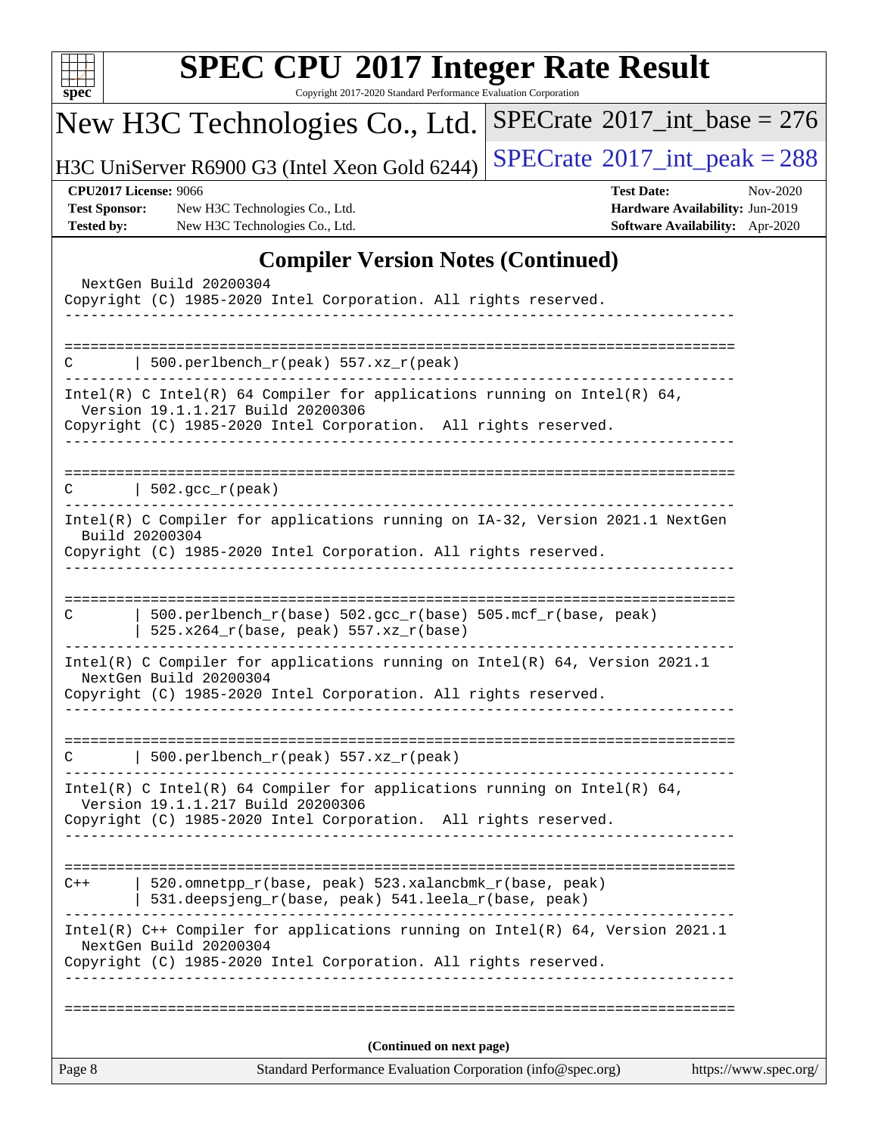| u | ١. | Ł |  |
|---|----|---|--|

Copyright 2017-2020 Standard Performance Evaluation Corporation

# New H3C Technologies Co., Ltd.

H3C UniServer R6900 G3 (Intel Xeon Gold 6244) [SPECrate](http://www.spec.org/auto/cpu2017/Docs/result-fields.html#SPECrate2017intpeak)<sup>®</sup>[2017\\_int\\_peak = 2](http://www.spec.org/auto/cpu2017/Docs/result-fields.html#SPECrate2017intpeak)88

 $SPECrate$ <sup>®</sup>[2017\\_int\\_base =](http://www.spec.org/auto/cpu2017/Docs/result-fields.html#SPECrate2017intbase) 276

**[Test Sponsor:](http://www.spec.org/auto/cpu2017/Docs/result-fields.html#TestSponsor)** New H3C Technologies Co., Ltd. **[Hardware Availability:](http://www.spec.org/auto/cpu2017/Docs/result-fields.html#HardwareAvailability)** Jun-2019 **[Tested by:](http://www.spec.org/auto/cpu2017/Docs/result-fields.html#Testedby)** New H3C Technologies Co., Ltd. **[Software Availability:](http://www.spec.org/auto/cpu2017/Docs/result-fields.html#SoftwareAvailability)** Apr-2020

**[CPU2017 License:](http://www.spec.org/auto/cpu2017/Docs/result-fields.html#CPU2017License)** 9066 **[Test Date:](http://www.spec.org/auto/cpu2017/Docs/result-fields.html#TestDate)** Nov-2020

### **[Compiler Version Notes \(Continued\)](http://www.spec.org/auto/cpu2017/Docs/result-fields.html#CompilerVersionNotes)**

|                | Copyright (C) 1985-2020 Intel Corporation. All rights reserved.                                                                                                                                      |                       |
|----------------|------------------------------------------------------------------------------------------------------------------------------------------------------------------------------------------------------|-----------------------|
| C              | 500.perlbench_r(peak) 557.xz_r(peak)                                                                                                                                                                 |                       |
|                | Intel(R) C Intel(R) 64 Compiler for applications running on Intel(R) 64,<br>Version 19.1.1.217 Build 20200306<br>Copyright (C) 1985-2020 Intel Corporation. All rights reserved.<br>________________ |                       |
| C              | 502.gcc_r(peak)<br>________________________________                                                                                                                                                  |                       |
| Build 20200304 | Intel(R) C Compiler for applications running on IA-32, Version 2021.1 NextGen<br>Copyright (C) 1985-2020 Intel Corporation. All rights reserved.                                                     |                       |
|                |                                                                                                                                                                                                      |                       |
| C              | 500.perlbench_r(base) 502.gcc_r(base) 505.mcf_r(base, peak)<br>$525.x264_r(base, peak) 557.xz_r(base)$                                                                                               |                       |
|                | Intel(R) C Compiler for applications running on $Intel(R)$ 64, Version 2021.1<br>NextGen Build 20200304<br>Copyright (C) 1985-2020 Intel Corporation. All rights reserved.                           |                       |
| C              | 500.perlbench_r(peak) 557.xz_r(peak)                                                                                                                                                                 |                       |
|                | Intel(R) C Intel(R) 64 Compiler for applications running on Intel(R) 64,<br>Version 19.1.1.217 Build 20200306<br>Copyright (C) 1985-2020 Intel Corporation. All rights reserved.                     |                       |
| $C++$          | 520.omnetpp_r(base, peak) 523.xalancbmk_r(base, peak)<br>531.deepsjeng_r(base, peak) 541.leela_r(base, peak)                                                                                         |                       |
|                | Intel(R) C++ Compiler for applications running on Intel(R) 64, Version 2021.1<br>NextGen Build 20200304<br>Copyright (C) 1985-2020 Intel Corporation. All rights reserved.                           |                       |
|                |                                                                                                                                                                                                      |                       |
|                | (Continued on next page)<br>Standard Performance Evaluation Corporation (info@spec.org)                                                                                                              | https://www.spec.org/ |
| Page 8         |                                                                                                                                                                                                      |                       |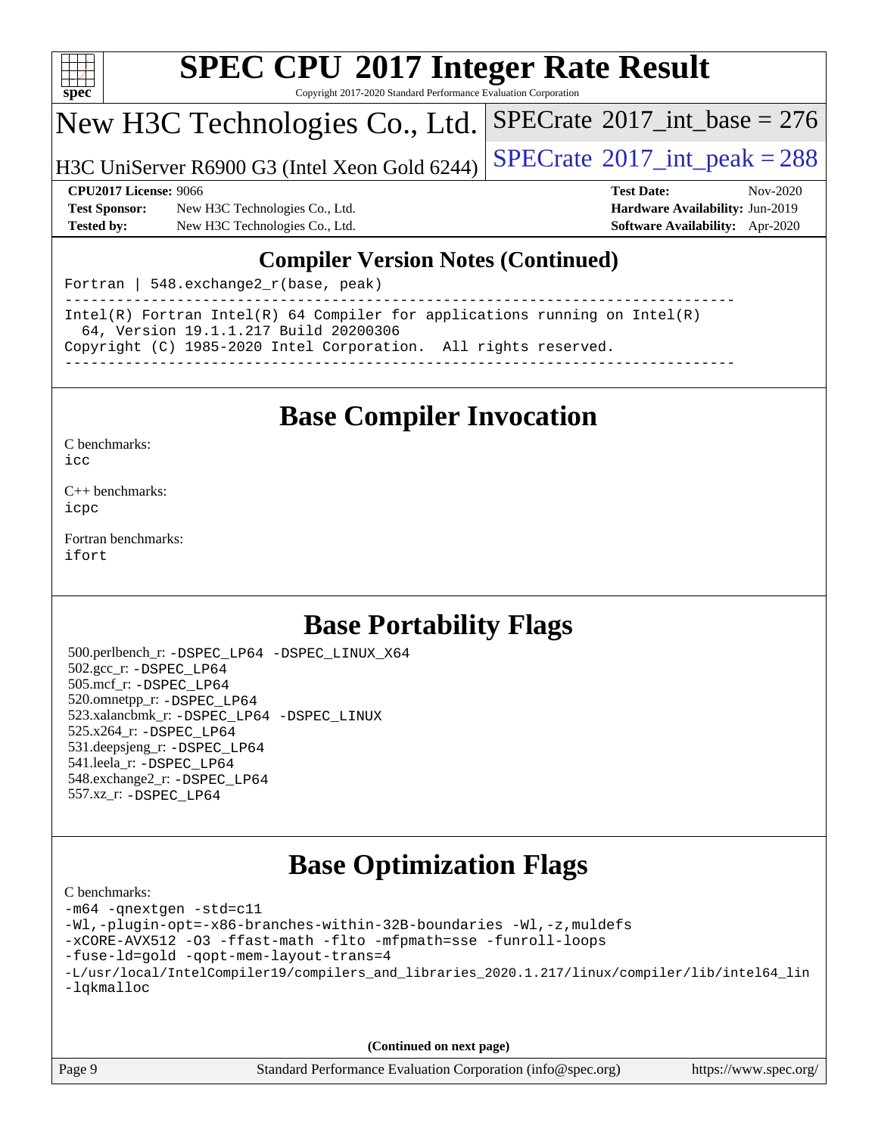

Copyright 2017-2020 Standard Performance Evaluation Corporation

New H3C Technologies Co., Ltd.

H3C UniServer R6900 G3 (Intel Xeon Gold 6244)  $\left|$  [SPECrate](http://www.spec.org/auto/cpu2017/Docs/result-fields.html#SPECrate2017intpeak)®[2017\\_int\\_peak = 2](http://www.spec.org/auto/cpu2017/Docs/result-fields.html#SPECrate2017intpeak)88

 $SPECTate$ <sup>®</sup>[2017\\_int\\_base =](http://www.spec.org/auto/cpu2017/Docs/result-fields.html#SPECrate2017intbase) 276

**[Test Sponsor:](http://www.spec.org/auto/cpu2017/Docs/result-fields.html#TestSponsor)** New H3C Technologies Co., Ltd. **[Hardware Availability:](http://www.spec.org/auto/cpu2017/Docs/result-fields.html#HardwareAvailability)** Jun-2019 **[Tested by:](http://www.spec.org/auto/cpu2017/Docs/result-fields.html#Testedby)** New H3C Technologies Co., Ltd. **[Software Availability:](http://www.spec.org/auto/cpu2017/Docs/result-fields.html#SoftwareAvailability)** Apr-2020

**[CPU2017 License:](http://www.spec.org/auto/cpu2017/Docs/result-fields.html#CPU2017License)** 9066 **[Test Date:](http://www.spec.org/auto/cpu2017/Docs/result-fields.html#TestDate)** Nov-2020

### **[Compiler Version Notes \(Continued\)](http://www.spec.org/auto/cpu2017/Docs/result-fields.html#CompilerVersionNotes)**

Fortran | 548.exchange2\_r(base, peak)

------------------------------------------------------------------------------ Intel(R) Fortran Intel(R) 64 Compiler for applications running on Intel(R) 64, Version 19.1.1.217 Build 20200306 Copyright (C) 1985-2020 Intel Corporation. All rights reserved. ------------------------------------------------------------------------------

## **[Base Compiler Invocation](http://www.spec.org/auto/cpu2017/Docs/result-fields.html#BaseCompilerInvocation)**

[C benchmarks](http://www.spec.org/auto/cpu2017/Docs/result-fields.html#Cbenchmarks):

[icc](http://www.spec.org/cpu2017/results/res2020q4/cpu2017-20201105-24336.flags.html#user_CCbase_intel_icc_66fc1ee009f7361af1fbd72ca7dcefbb700085f36577c54f309893dd4ec40d12360134090235512931783d35fd58c0460139e722d5067c5574d8eaf2b3e37e92)

[C++ benchmarks:](http://www.spec.org/auto/cpu2017/Docs/result-fields.html#CXXbenchmarks) [icpc](http://www.spec.org/cpu2017/results/res2020q4/cpu2017-20201105-24336.flags.html#user_CXXbase_intel_icpc_c510b6838c7f56d33e37e94d029a35b4a7bccf4766a728ee175e80a419847e808290a9b78be685c44ab727ea267ec2f070ec5dc83b407c0218cded6866a35d07)

[Fortran benchmarks](http://www.spec.org/auto/cpu2017/Docs/result-fields.html#Fortranbenchmarks): [ifort](http://www.spec.org/cpu2017/results/res2020q4/cpu2017-20201105-24336.flags.html#user_FCbase_intel_ifort_8111460550e3ca792625aed983ce982f94888b8b503583aa7ba2b8303487b4d8a21a13e7191a45c5fd58ff318f48f9492884d4413fa793fd88dd292cad7027ca)

## **[Base Portability Flags](http://www.spec.org/auto/cpu2017/Docs/result-fields.html#BasePortabilityFlags)**

 500.perlbench\_r: [-DSPEC\\_LP64](http://www.spec.org/cpu2017/results/res2020q4/cpu2017-20201105-24336.flags.html#b500.perlbench_r_basePORTABILITY_DSPEC_LP64) [-DSPEC\\_LINUX\\_X64](http://www.spec.org/cpu2017/results/res2020q4/cpu2017-20201105-24336.flags.html#b500.perlbench_r_baseCPORTABILITY_DSPEC_LINUX_X64) 502.gcc\_r: [-DSPEC\\_LP64](http://www.spec.org/cpu2017/results/res2020q4/cpu2017-20201105-24336.flags.html#suite_basePORTABILITY502_gcc_r_DSPEC_LP64) 505.mcf\_r: [-DSPEC\\_LP64](http://www.spec.org/cpu2017/results/res2020q4/cpu2017-20201105-24336.flags.html#suite_basePORTABILITY505_mcf_r_DSPEC_LP64) 520.omnetpp\_r: [-DSPEC\\_LP64](http://www.spec.org/cpu2017/results/res2020q4/cpu2017-20201105-24336.flags.html#suite_basePORTABILITY520_omnetpp_r_DSPEC_LP64) 523.xalancbmk\_r: [-DSPEC\\_LP64](http://www.spec.org/cpu2017/results/res2020q4/cpu2017-20201105-24336.flags.html#suite_basePORTABILITY523_xalancbmk_r_DSPEC_LP64) [-DSPEC\\_LINUX](http://www.spec.org/cpu2017/results/res2020q4/cpu2017-20201105-24336.flags.html#b523.xalancbmk_r_baseCXXPORTABILITY_DSPEC_LINUX) 525.x264\_r: [-DSPEC\\_LP64](http://www.spec.org/cpu2017/results/res2020q4/cpu2017-20201105-24336.flags.html#suite_basePORTABILITY525_x264_r_DSPEC_LP64) 531.deepsjeng\_r: [-DSPEC\\_LP64](http://www.spec.org/cpu2017/results/res2020q4/cpu2017-20201105-24336.flags.html#suite_basePORTABILITY531_deepsjeng_r_DSPEC_LP64) 541.leela\_r: [-DSPEC\\_LP64](http://www.spec.org/cpu2017/results/res2020q4/cpu2017-20201105-24336.flags.html#suite_basePORTABILITY541_leela_r_DSPEC_LP64) 548.exchange2\_r: [-DSPEC\\_LP64](http://www.spec.org/cpu2017/results/res2020q4/cpu2017-20201105-24336.flags.html#suite_basePORTABILITY548_exchange2_r_DSPEC_LP64) 557.xz\_r: [-DSPEC\\_LP64](http://www.spec.org/cpu2017/results/res2020q4/cpu2017-20201105-24336.flags.html#suite_basePORTABILITY557_xz_r_DSPEC_LP64)

# **[Base Optimization Flags](http://www.spec.org/auto/cpu2017/Docs/result-fields.html#BaseOptimizationFlags)**

[C benchmarks](http://www.spec.org/auto/cpu2017/Docs/result-fields.html#Cbenchmarks):

```
-m64 -qnextgen -std=c11
-Wl,-plugin-opt=-x86-branches-within-32B-boundaries -Wl,-z,muldefs
-xCORE-AVX512 -O3 -ffast-math -flto -mfpmath=sse -funroll-loops
-fuse-ld=gold -qopt-mem-layout-trans=4
-L/usr/local/IntelCompiler19/compilers_and_libraries_2020.1.217/linux/compiler/lib/intel64_lin
-lqkmalloc
```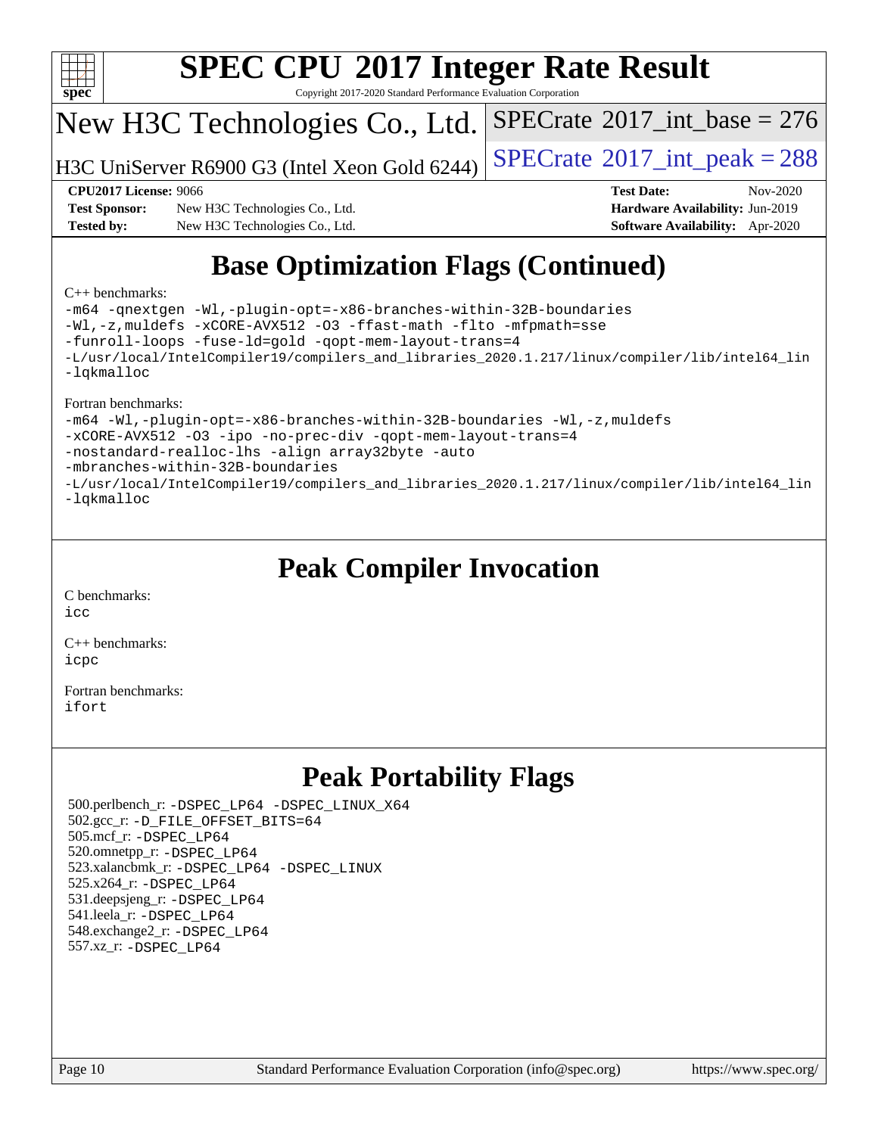

Copyright 2017-2020 Standard Performance Evaluation Corporation

## New H3C Technologies Co., Ltd.

H3C UniServer R6900 G3 (Intel Xeon Gold 6244)  $\left|$  [SPECrate](http://www.spec.org/auto/cpu2017/Docs/result-fields.html#SPECrate2017intpeak)®[2017\\_int\\_peak = 2](http://www.spec.org/auto/cpu2017/Docs/result-fields.html#SPECrate2017intpeak)88

 $SPECTate$ <sup>®</sup>[2017\\_int\\_base =](http://www.spec.org/auto/cpu2017/Docs/result-fields.html#SPECrate2017intbase) 276

**[Test Sponsor:](http://www.spec.org/auto/cpu2017/Docs/result-fields.html#TestSponsor)** New H3C Technologies Co., Ltd. **[Hardware Availability:](http://www.spec.org/auto/cpu2017/Docs/result-fields.html#HardwareAvailability)** Jun-2019 **[Tested by:](http://www.spec.org/auto/cpu2017/Docs/result-fields.html#Testedby)** New H3C Technologies Co., Ltd. **[Software Availability:](http://www.spec.org/auto/cpu2017/Docs/result-fields.html#SoftwareAvailability)** Apr-2020

**[CPU2017 License:](http://www.spec.org/auto/cpu2017/Docs/result-fields.html#CPU2017License)** 9066 **[Test Date:](http://www.spec.org/auto/cpu2017/Docs/result-fields.html#TestDate)** Nov-2020

# **[Base Optimization Flags \(Continued\)](http://www.spec.org/auto/cpu2017/Docs/result-fields.html#BaseOptimizationFlags)**

### [C++ benchmarks:](http://www.spec.org/auto/cpu2017/Docs/result-fields.html#CXXbenchmarks)

[-m64](http://www.spec.org/cpu2017/results/res2020q4/cpu2017-20201105-24336.flags.html#user_CXXbase_m64-icc) [-qnextgen](http://www.spec.org/cpu2017/results/res2020q4/cpu2017-20201105-24336.flags.html#user_CXXbase_f-qnextgen) [-Wl,-plugin-opt=-x86-branches-within-32B-boundaries](http://www.spec.org/cpu2017/results/res2020q4/cpu2017-20201105-24336.flags.html#user_CXXbase_f-x86-branches-within-32B-boundaries_0098b4e4317ae60947b7b728078a624952a08ac37a3c797dfb4ffeb399e0c61a9dd0f2f44ce917e9361fb9076ccb15e7824594512dd315205382d84209e912f3) [-Wl,-z,muldefs](http://www.spec.org/cpu2017/results/res2020q4/cpu2017-20201105-24336.flags.html#user_CXXbase_link_force_multiple1_b4cbdb97b34bdee9ceefcfe54f4c8ea74255f0b02a4b23e853cdb0e18eb4525ac79b5a88067c842dd0ee6996c24547a27a4b99331201badda8798ef8a743f577) [-xCORE-AVX512](http://www.spec.org/cpu2017/results/res2020q4/cpu2017-20201105-24336.flags.html#user_CXXbase_f-xCORE-AVX512) [-O3](http://www.spec.org/cpu2017/results/res2020q4/cpu2017-20201105-24336.flags.html#user_CXXbase_f-O3) [-ffast-math](http://www.spec.org/cpu2017/results/res2020q4/cpu2017-20201105-24336.flags.html#user_CXXbase_f-ffast-math) [-flto](http://www.spec.org/cpu2017/results/res2020q4/cpu2017-20201105-24336.flags.html#user_CXXbase_f-flto) [-mfpmath=sse](http://www.spec.org/cpu2017/results/res2020q4/cpu2017-20201105-24336.flags.html#user_CXXbase_f-mfpmath_70eb8fac26bde974f8ab713bc9086c5621c0b8d2f6c86f38af0bd7062540daf19db5f3a066d8c6684be05d84c9b6322eb3b5be6619d967835195b93d6c02afa1) [-funroll-loops](http://www.spec.org/cpu2017/results/res2020q4/cpu2017-20201105-24336.flags.html#user_CXXbase_f-funroll-loops) [-fuse-ld=gold](http://www.spec.org/cpu2017/results/res2020q4/cpu2017-20201105-24336.flags.html#user_CXXbase_f-fuse-ld_920b3586e2b8c6e0748b9c84fa9b744736ba725a32cab14ad8f3d4ad28eecb2f59d1144823d2e17006539a88734fe1fc08fc3035f7676166309105a78aaabc32) [-qopt-mem-layout-trans=4](http://www.spec.org/cpu2017/results/res2020q4/cpu2017-20201105-24336.flags.html#user_CXXbase_f-qopt-mem-layout-trans_fa39e755916c150a61361b7846f310bcdf6f04e385ef281cadf3647acec3f0ae266d1a1d22d972a7087a248fd4e6ca390a3634700869573d231a252c784941a8) [-L/usr/local/IntelCompiler19/compilers\\_and\\_libraries\\_2020.1.217/linux/compiler/lib/intel64\\_lin](http://www.spec.org/cpu2017/results/res2020q4/cpu2017-20201105-24336.flags.html#user_CXXbase_linkpath_2cb6f503891ebf8baee7515f4e7d4ec1217444d1d05903cc0091ac4158de400651d2b2313a9fa414cb8a8f0e16ab029634f5c6db340f400369c190d4db8a54a0) [-lqkmalloc](http://www.spec.org/cpu2017/results/res2020q4/cpu2017-20201105-24336.flags.html#user_CXXbase_qkmalloc_link_lib_79a818439969f771c6bc311cfd333c00fc099dad35c030f5aab9dda831713d2015205805422f83de8875488a2991c0a156aaa600e1f9138f8fc37004abc96dc5)

### [Fortran benchmarks:](http://www.spec.org/auto/cpu2017/Docs/result-fields.html#Fortranbenchmarks)

[-m64](http://www.spec.org/cpu2017/results/res2020q4/cpu2017-20201105-24336.flags.html#user_FCbase_m64-icc) [-Wl,-plugin-opt=-x86-branches-within-32B-boundaries](http://www.spec.org/cpu2017/results/res2020q4/cpu2017-20201105-24336.flags.html#user_FCbase_f-x86-branches-within-32B-boundaries_0098b4e4317ae60947b7b728078a624952a08ac37a3c797dfb4ffeb399e0c61a9dd0f2f44ce917e9361fb9076ccb15e7824594512dd315205382d84209e912f3) [-Wl,-z,muldefs](http://www.spec.org/cpu2017/results/res2020q4/cpu2017-20201105-24336.flags.html#user_FCbase_link_force_multiple1_b4cbdb97b34bdee9ceefcfe54f4c8ea74255f0b02a4b23e853cdb0e18eb4525ac79b5a88067c842dd0ee6996c24547a27a4b99331201badda8798ef8a743f577) [-xCORE-AVX512](http://www.spec.org/cpu2017/results/res2020q4/cpu2017-20201105-24336.flags.html#user_FCbase_f-xCORE-AVX512) [-O3](http://www.spec.org/cpu2017/results/res2020q4/cpu2017-20201105-24336.flags.html#user_FCbase_f-O3) [-ipo](http://www.spec.org/cpu2017/results/res2020q4/cpu2017-20201105-24336.flags.html#user_FCbase_f-ipo) [-no-prec-div](http://www.spec.org/cpu2017/results/res2020q4/cpu2017-20201105-24336.flags.html#user_FCbase_f-no-prec-div) [-qopt-mem-layout-trans=4](http://www.spec.org/cpu2017/results/res2020q4/cpu2017-20201105-24336.flags.html#user_FCbase_f-qopt-mem-layout-trans_fa39e755916c150a61361b7846f310bcdf6f04e385ef281cadf3647acec3f0ae266d1a1d22d972a7087a248fd4e6ca390a3634700869573d231a252c784941a8) [-nostandard-realloc-lhs](http://www.spec.org/cpu2017/results/res2020q4/cpu2017-20201105-24336.flags.html#user_FCbase_f_2003_std_realloc_82b4557e90729c0f113870c07e44d33d6f5a304b4f63d4c15d2d0f1fab99f5daaed73bdb9275d9ae411527f28b936061aa8b9c8f2d63842963b95c9dd6426b8a) [-align array32byte](http://www.spec.org/cpu2017/results/res2020q4/cpu2017-20201105-24336.flags.html#user_FCbase_align_array32byte_b982fe038af199962ba9a80c053b8342c548c85b40b8e86eb3cc33dee0d7986a4af373ac2d51c3f7cf710a18d62fdce2948f201cd044323541f22fc0fffc51b6) [-auto](http://www.spec.org/cpu2017/results/res2020q4/cpu2017-20201105-24336.flags.html#user_FCbase_f-auto) [-mbranches-within-32B-boundaries](http://www.spec.org/cpu2017/results/res2020q4/cpu2017-20201105-24336.flags.html#user_FCbase_f-mbranches-within-32B-boundaries) [-L/usr/local/IntelCompiler19/compilers\\_and\\_libraries\\_2020.1.217/linux/compiler/lib/intel64\\_lin](http://www.spec.org/cpu2017/results/res2020q4/cpu2017-20201105-24336.flags.html#user_FCbase_linkpath_2cb6f503891ebf8baee7515f4e7d4ec1217444d1d05903cc0091ac4158de400651d2b2313a9fa414cb8a8f0e16ab029634f5c6db340f400369c190d4db8a54a0) [-lqkmalloc](http://www.spec.org/cpu2017/results/res2020q4/cpu2017-20201105-24336.flags.html#user_FCbase_qkmalloc_link_lib_79a818439969f771c6bc311cfd333c00fc099dad35c030f5aab9dda831713d2015205805422f83de8875488a2991c0a156aaa600e1f9138f8fc37004abc96dc5)

## **[Peak Compiler Invocation](http://www.spec.org/auto/cpu2017/Docs/result-fields.html#PeakCompilerInvocation)**

[C benchmarks](http://www.spec.org/auto/cpu2017/Docs/result-fields.html#Cbenchmarks): [icc](http://www.spec.org/cpu2017/results/res2020q4/cpu2017-20201105-24336.flags.html#user_CCpeak_intel_icc_66fc1ee009f7361af1fbd72ca7dcefbb700085f36577c54f309893dd4ec40d12360134090235512931783d35fd58c0460139e722d5067c5574d8eaf2b3e37e92)

[C++ benchmarks:](http://www.spec.org/auto/cpu2017/Docs/result-fields.html#CXXbenchmarks) [icpc](http://www.spec.org/cpu2017/results/res2020q4/cpu2017-20201105-24336.flags.html#user_CXXpeak_intel_icpc_c510b6838c7f56d33e37e94d029a35b4a7bccf4766a728ee175e80a419847e808290a9b78be685c44ab727ea267ec2f070ec5dc83b407c0218cded6866a35d07)

[Fortran benchmarks](http://www.spec.org/auto/cpu2017/Docs/result-fields.html#Fortranbenchmarks): [ifort](http://www.spec.org/cpu2017/results/res2020q4/cpu2017-20201105-24336.flags.html#user_FCpeak_intel_ifort_8111460550e3ca792625aed983ce982f94888b8b503583aa7ba2b8303487b4d8a21a13e7191a45c5fd58ff318f48f9492884d4413fa793fd88dd292cad7027ca)

## **[Peak Portability Flags](http://www.spec.org/auto/cpu2017/Docs/result-fields.html#PeakPortabilityFlags)**

 500.perlbench\_r: [-DSPEC\\_LP64](http://www.spec.org/cpu2017/results/res2020q4/cpu2017-20201105-24336.flags.html#b500.perlbench_r_peakPORTABILITY_DSPEC_LP64) [-DSPEC\\_LINUX\\_X64](http://www.spec.org/cpu2017/results/res2020q4/cpu2017-20201105-24336.flags.html#b500.perlbench_r_peakCPORTABILITY_DSPEC_LINUX_X64) 502.gcc\_r: [-D\\_FILE\\_OFFSET\\_BITS=64](http://www.spec.org/cpu2017/results/res2020q4/cpu2017-20201105-24336.flags.html#user_peakPORTABILITY502_gcc_r_file_offset_bits_64_5ae949a99b284ddf4e95728d47cb0843d81b2eb0e18bdfe74bbf0f61d0b064f4bda2f10ea5eb90e1dcab0e84dbc592acfc5018bc955c18609f94ddb8d550002c) 505.mcf\_r: [-DSPEC\\_LP64](http://www.spec.org/cpu2017/results/res2020q4/cpu2017-20201105-24336.flags.html#suite_peakPORTABILITY505_mcf_r_DSPEC_LP64) 520.omnetpp\_r: [-DSPEC\\_LP64](http://www.spec.org/cpu2017/results/res2020q4/cpu2017-20201105-24336.flags.html#suite_peakPORTABILITY520_omnetpp_r_DSPEC_LP64) 523.xalancbmk\_r: [-DSPEC\\_LP64](http://www.spec.org/cpu2017/results/res2020q4/cpu2017-20201105-24336.flags.html#suite_peakPORTABILITY523_xalancbmk_r_DSPEC_LP64) [-DSPEC\\_LINUX](http://www.spec.org/cpu2017/results/res2020q4/cpu2017-20201105-24336.flags.html#b523.xalancbmk_r_peakCXXPORTABILITY_DSPEC_LINUX) 525.x264\_r: [-DSPEC\\_LP64](http://www.spec.org/cpu2017/results/res2020q4/cpu2017-20201105-24336.flags.html#suite_peakPORTABILITY525_x264_r_DSPEC_LP64) 531.deepsjeng\_r: [-DSPEC\\_LP64](http://www.spec.org/cpu2017/results/res2020q4/cpu2017-20201105-24336.flags.html#suite_peakPORTABILITY531_deepsjeng_r_DSPEC_LP64) 541.leela\_r: [-DSPEC\\_LP64](http://www.spec.org/cpu2017/results/res2020q4/cpu2017-20201105-24336.flags.html#suite_peakPORTABILITY541_leela_r_DSPEC_LP64) 548.exchange2\_r: [-DSPEC\\_LP64](http://www.spec.org/cpu2017/results/res2020q4/cpu2017-20201105-24336.flags.html#suite_peakPORTABILITY548_exchange2_r_DSPEC_LP64) 557.xz\_r: [-DSPEC\\_LP64](http://www.spec.org/cpu2017/results/res2020q4/cpu2017-20201105-24336.flags.html#suite_peakPORTABILITY557_xz_r_DSPEC_LP64)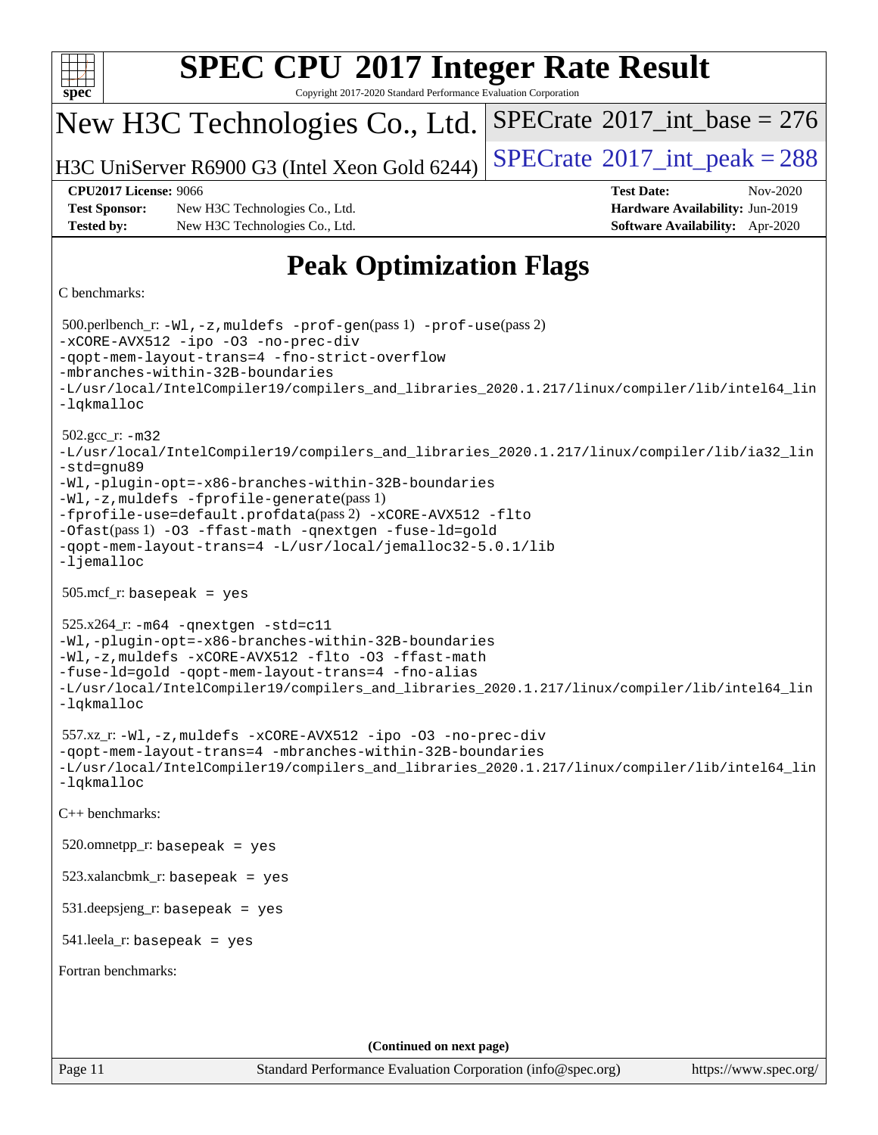| <b>SPEC CPU®2017 Integer Rate Result</b>                                                                                                                                                                                                                                                                                                                                                                                                             |
|------------------------------------------------------------------------------------------------------------------------------------------------------------------------------------------------------------------------------------------------------------------------------------------------------------------------------------------------------------------------------------------------------------------------------------------------------|
| Copyright 2017-2020 Standard Performance Evaluation Corporation<br>$s\overline{p}$ ec <sup>®</sup><br>$SPECrate^{\circ}2017\_int\_base = 276$<br>New H3C Technologies Co., Ltd.                                                                                                                                                                                                                                                                      |
| $SPECrate$ <sup>®</sup> 2017_int_peak = 288                                                                                                                                                                                                                                                                                                                                                                                                          |
| H3C UniServer R6900 G3 (Intel Xeon Gold 6244)<br><b>CPU2017 License: 9066</b><br><b>Test Date:</b><br>Nov-2020                                                                                                                                                                                                                                                                                                                                       |
| <b>Test Sponsor:</b><br>Hardware Availability: Jun-2019<br>New H3C Technologies Co., Ltd.                                                                                                                                                                                                                                                                                                                                                            |
| <b>Tested by:</b><br>New H3C Technologies Co., Ltd.<br>Software Availability: Apr-2020                                                                                                                                                                                                                                                                                                                                                               |
| <b>Peak Optimization Flags</b>                                                                                                                                                                                                                                                                                                                                                                                                                       |
| C benchmarks:                                                                                                                                                                                                                                                                                                                                                                                                                                        |
| $500.$ perlbench_r: -Wl, -z, muldefs -prof-gen(pass 1) -prof-use(pass 2)<br>-xCORE-AVX512 -ipo -03 -no-prec-div<br>-gopt-mem-layout-trans=4 -fno-strict-overflow<br>-mbranches-within-32B-boundaries<br>-L/usr/local/IntelCompiler19/compilers_and_libraries_2020.1.217/linux/compiler/lib/intel64_lin<br>-lqkmalloc                                                                                                                                 |
| $502.\text{gcc}_r$ : $-m32$<br>-L/usr/local/IntelCompiler19/compilers_and_libraries_2020.1.217/linux/compiler/lib/ia32_lin<br>-std=gnu89<br>-Wl,-plugin-opt=-x86-branches-within-32B-boundaries<br>-Wl,-z, muldefs -fprofile-generate(pass 1)<br>-fprofile-use=default.profdata(pass 2) -xCORE-AVX512 -flto<br>-Ofast(pass 1) -03 -ffast-math -qnextgen -fuse-ld=gold<br>-qopt-mem-layout-trans=4 -L/usr/local/jemalloc32-5.0.1/lib<br>$-lj$ emalloc |
| $505.\text{mcf}_r$ : basepeak = yes                                                                                                                                                                                                                                                                                                                                                                                                                  |
| $525.x264$ _r: $-m64$ -qnextgen $-std= c11$<br>-Wl,-plugin-opt=-x86-branches-within-32B-boundaries<br>-Wl,-z, muldefs -xCORE-AVX512 -flto -03 -ffast-math<br>-fuse-ld=gold -qopt-mem-layout-trans=4 -fno-alias<br>-L/usr/local/IntelCompiler19/compilers_and_libraries_2020.1.217/linux/compiler/lib/intel64_lin<br>-lqkmalloc                                                                                                                       |
| 557.xz_r:-Wl,-z, muldefs -xCORE-AVX512 -ipo -03 -no-prec-div<br>-qopt-mem-layout-trans=4 -mbranches-within-32B-boundaries<br>-L/usr/local/IntelCompiler19/compilers_and_libraries_2020.1.217/linux/compiler/lib/intel64_lin<br>-lqkmalloc                                                                                                                                                                                                            |
| C++ benchmarks:                                                                                                                                                                                                                                                                                                                                                                                                                                      |
| $520.$ omnetpp_r: basepeak = yes                                                                                                                                                                                                                                                                                                                                                                                                                     |
| $523.xalanchmk_r:$ basepeak = yes                                                                                                                                                                                                                                                                                                                                                                                                                    |
| $531$ .deepsjeng_r: basepeak = yes                                                                                                                                                                                                                                                                                                                                                                                                                   |
| $541$ .leela_r: basepeak = yes                                                                                                                                                                                                                                                                                                                                                                                                                       |
| Fortran benchmarks:                                                                                                                                                                                                                                                                                                                                                                                                                                  |
|                                                                                                                                                                                                                                                                                                                                                                                                                                                      |
|                                                                                                                                                                                                                                                                                                                                                                                                                                                      |
| (Continued on next page)<br>Page 11<br>Standard Performance Evaluation Corporation (info@spec.org)<br>https://www.spec.org/                                                                                                                                                                                                                                                                                                                          |